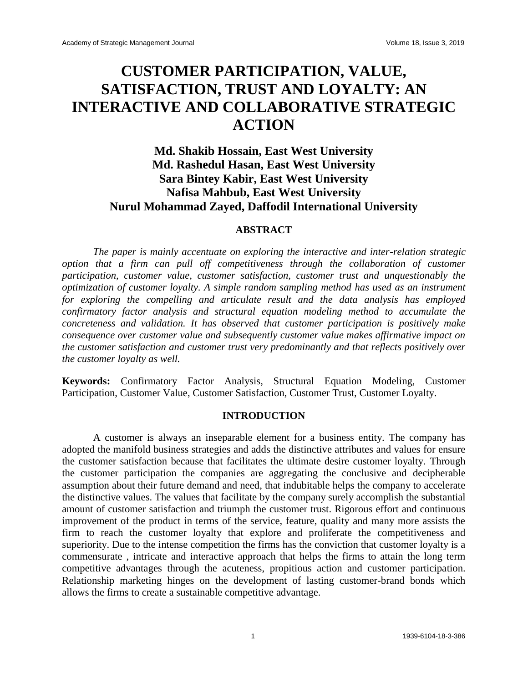# **CUSTOMER PARTICIPATION, VALUE, SATISFACTION, TRUST AND LOYALTY: AN INTERACTIVE AND COLLABORATIVE STRATEGIC ACTION**

# **Md. Shakib Hossain, East West University Md. Rashedul Hasan, East West University Sara Bintey Kabir, East West University Nafisa Mahbub, East West University Nurul Mohammad Zayed, Daffodil International University**

#### **ABSTRACT**

*The paper is mainly accentuate on exploring the interactive and inter-relation strategic option that a firm can pull off competitiveness through the collaboration of customer participation, customer value, customer satisfaction, customer trust and unquestionably the optimization of customer loyalty. A simple random sampling method has used as an instrument for exploring the compelling and articulate result and the data analysis has employed confirmatory factor analysis and structural equation modeling method to accumulate the concreteness and validation. It has observed that customer participation is positively make consequence over customer value and subsequently customer value makes affirmative impact on the customer satisfaction and customer trust very predominantly and that reflects positively over the customer loyalty as well.* 

**Keywords:** Confirmatory Factor Analysis, Structural Equation Modeling, Customer Participation, Customer Value, Customer Satisfaction, Customer Trust, Customer Loyalty.

## **INTRODUCTION**

A customer is always an inseparable element for a business entity. The company has adopted the manifold business strategies and adds the distinctive attributes and values for ensure the customer satisfaction because that facilitates the ultimate desire customer loyalty. Through the customer participation the companies are aggregating the conclusive and decipherable assumption about their future demand and need, that indubitable helps the company to accelerate the distinctive values. The values that facilitate by the company surely accomplish the substantial amount of customer satisfaction and triumph the customer trust. Rigorous effort and continuous improvement of the product in terms of the service, feature, quality and many more assists the firm to reach the customer loyalty that explore and proliferate the competitiveness and superiority. Due to the intense competition the firms has the conviction that customer loyalty is a commensurate , intricate and interactive approach that helps the firms to attain the long term competitive advantages through the acuteness, propitious action and customer participation. Relationship marketing hinges on the development of lasting customer-brand bonds which allows the firms to create a sustainable competitive advantage.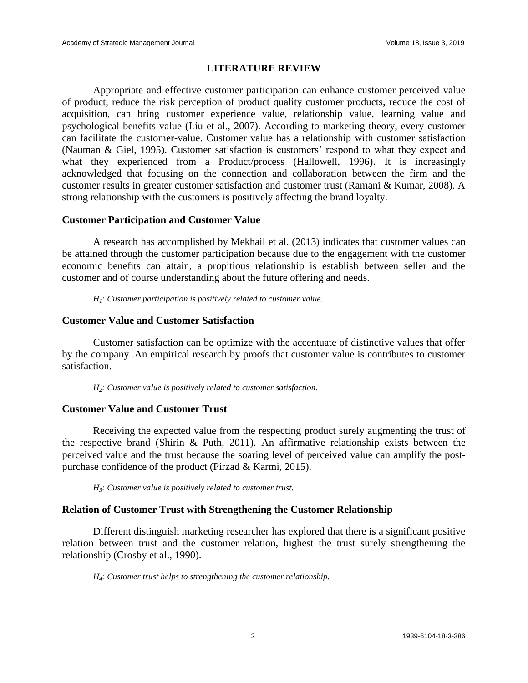## **LITERATURE REVIEW**

Appropriate and effective customer participation can enhance customer perceived value of product, reduce the risk perception of product quality customer products, reduce the cost of acquisition, can bring customer experience value, relationship value, learning value and psychological benefits value (Liu et al., 2007). According to marketing theory, every customer can facilitate the customer-value. Customer value has a relationship with customer satisfaction (Nauman & Giel, 1995). Customer satisfaction is customers' respond to what they expect and what they experienced from a Product/process (Hallowell, 1996). It is increasingly acknowledged that focusing on the connection and collaboration between the firm and the customer results in greater customer satisfaction and customer trust (Ramani & Kumar, 2008). A strong relationship with the customers is positively affecting the brand loyalty.

#### **Customer Participation and Customer Value**

A research has accomplished by Mekhail et al. (2013) indicates that customer values can be attained through the customer participation because due to the engagement with the customer economic benefits can attain, a propitious relationship is establish between seller and the customer and of course understanding about the future offering and needs.

*H1: Customer participation is positively related to customer value.*

#### **Customer Value and Customer Satisfaction**

Customer satisfaction can be optimize with the accentuate of distinctive values that offer by the company .An empirical research by proofs that customer value is contributes to customer satisfaction.

*H2: Customer value is positively related to customer satisfaction.*

#### **Customer Value and Customer Trust**

Receiving the expected value from the respecting product surely augmenting the trust of the respective brand (Shirin & Puth, 2011). An affirmative relationship exists between the perceived value and the trust because the soaring level of perceived value can amplify the postpurchase confidence of the product (Pirzad & Karmi, 2015).

*H3: Customer value is positively related to customer trust.*

#### **Relation of Customer Trust with Strengthening the Customer Relationship**

Different distinguish marketing researcher has explored that there is a significant positive relation between trust and the customer relation, highest the trust surely strengthening the relationship (Crosby et al., 1990).

*H4: Customer trust helps to strengthening the customer relationship.*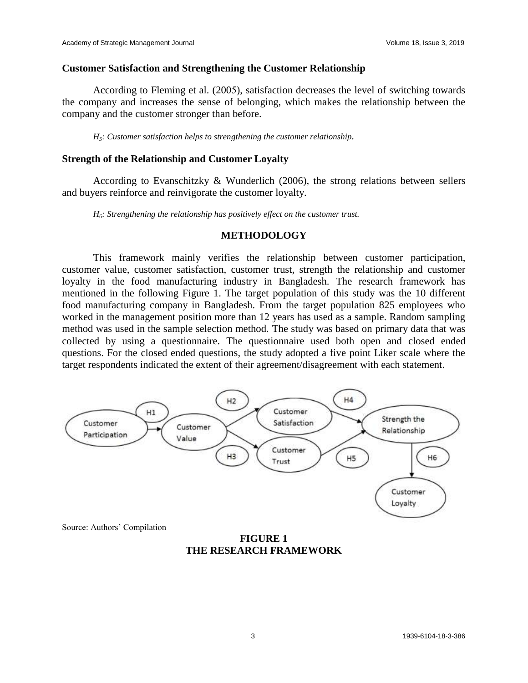#### **Customer Satisfaction and Strengthening the Customer Relationship**

According to Fleming et al. (2005), satisfaction decreases the level of switching towards the company and increases the sense of belonging, which makes the relationship between the company and the customer stronger than before.

*H5: Customer satisfaction helps to strengthening the customer relationship.*

#### **Strength of the Relationship and Customer Loyalty**

According to Evanschitzky & Wunderlich  $(2006)$ , the strong relations between sellers and buyers reinforce and reinvigorate the customer loyalty.

*H6: Strengthening the relationship has positively effect on the customer trust.*

#### **METHODOLOGY**

This framework mainly verifies the relationship between customer participation, customer value, customer satisfaction, customer trust, strength the relationship and customer loyalty in the food manufacturing industry in Bangladesh. The research framework has mentioned in the following Figure 1. The target population of this study was the 10 different food manufacturing company in Bangladesh. From the target population 825 employees who worked in the management position more than 12 years has used as a sample. Random sampling method was used in the sample selection method. The study was based on primary data that was collected by using a questionnaire. The questionnaire used both open and closed ended questions. For the closed ended questions, the study adopted a five point Liker scale where the target respondents indicated the extent of their agreement/disagreement with each statement.



Source: Authors' Compilation

**FIGURE 1 THE RESEARCH FRAMEWORK**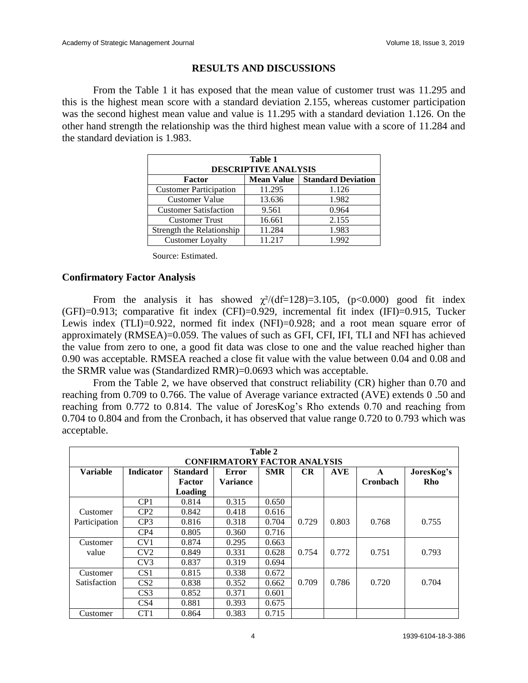# **RESULTS AND DISCUSSIONS**

From the Table 1 it has exposed that the mean value of customer trust was 11.295 and this is the highest mean score with a standard deviation 2.155, whereas customer participation was the second highest mean value and value is 11.295 with a standard deviation 1.126. On the other hand strength the relationship was the third highest mean value with a score of 11.284 and the standard deviation is 1.983.

| Table 1<br><b>DESCRIPTIVE ANALYSIS</b>                   |        |       |  |  |  |  |
|----------------------------------------------------------|--------|-------|--|--|--|--|
| <b>Standard Deviation</b><br><b>Mean Value</b><br>Factor |        |       |  |  |  |  |
| <b>Customer Participation</b>                            | 11.295 | 1.126 |  |  |  |  |
| <b>Customer Value</b>                                    | 13.636 | 1.982 |  |  |  |  |
| <b>Customer Satisfaction</b>                             | 9.561  | 0.964 |  |  |  |  |
| <b>Customer Trust</b>                                    | 16.661 | 2.155 |  |  |  |  |
| Strength the Relationship                                | 11.284 | 1.983 |  |  |  |  |
| <b>Customer Loyalty</b>                                  | 11.217 | 1.992 |  |  |  |  |

Source: Estimated.

# **Confirmatory Factor Analysis**

From the analysis it has showed  $\chi^2/(df=128)=3.105$ , (p<0.000) good fit index (GFI)=0.913; comparative fit index (CFI)=0.929, incremental fit index (IFI)=0.915, Tucker Lewis index (TLI)=0.922, normed fit index (NFI)=0.928; and a root mean square error of approximately (RMSEA)=0.059. The values of such as GFI, CFI, IFI, TLI and NFI has achieved the value from zero to one, a good fit data was close to one and the value reached higher than 0.90 was acceptable. RMSEA reached a close fit value with the value between 0.04 and 0.08 and the SRMR value was (Standardized RMR)=0.0693 which was acceptable.

From the Table 2, we have observed that construct reliability (CR) higher than 0.70 and reaching from 0.709 to 0.766. The value of Average variance extracted (AVE) extends 0 .50 and reaching from 0.772 to 0.814. The value of JoresKog's Rho extends 0.70 and reaching from 0.704 to 0.804 and from the Cronbach, it has observed that value range 0.720 to 0.793 which was acceptable.

| Table 2<br><b>CONFIRMATORY FACTOR ANALYSIS</b> |                  |                                      |                          |            |       |            |                      |                   |
|------------------------------------------------|------------------|--------------------------------------|--------------------------|------------|-------|------------|----------------------|-------------------|
| <b>Variable</b>                                | <b>Indicator</b> | <b>Standard</b><br>Factor<br>Loading | Error<br><b>Variance</b> | <b>SMR</b> | CR    | <b>AVE</b> | A<br><b>Cronbach</b> | JoresKog's<br>Rho |
|                                                | CP1              | 0.814                                | 0.315                    | 0.650      |       |            |                      |                   |
| Customer                                       | CP2              | 0.842                                | 0.418                    | 0.616      |       |            |                      |                   |
| Participation                                  | CP <sub>3</sub>  | 0.816                                | 0.318                    | 0.704      | 0.729 | 0.803      | 0.768                | 0.755             |
|                                                | CP4              | 0.805                                | 0.360                    | 0.716      |       |            |                      |                   |
| Customer                                       | CV <sub>1</sub>  | 0.874                                | 0.295                    | 0.663      |       |            |                      |                   |
| value                                          | CV2              | 0.849                                | 0.331                    | 0.628      | 0.754 | 0.772      | 0.751                | 0.793             |
|                                                | CV3              | 0.837                                | 0.319                    | 0.694      |       |            |                      |                   |
| Customer                                       | CS <sub>1</sub>  | 0.815                                | 0.338                    | 0.672      |       |            |                      |                   |
| <b>Satisfaction</b>                            | CS <sub>2</sub>  | 0.838                                | 0.352                    | 0.662      | 0.709 | 0.786      | 0.720                | 0.704             |
|                                                | CS <sub>3</sub>  | 0.852                                | 0.371                    | 0.601      |       |            |                      |                   |
|                                                | CS <sub>4</sub>  | 0.881                                | 0.393                    | 0.675      |       |            |                      |                   |
| Customer                                       | CT1              | 0.864                                | 0.383                    | 0.715      |       |            |                      |                   |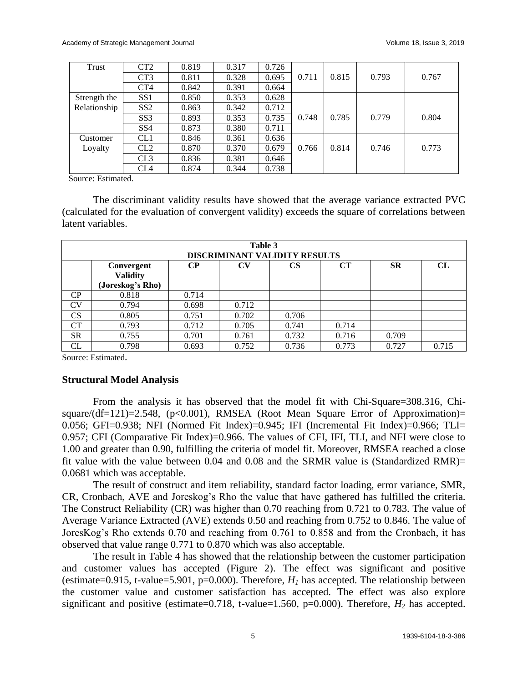| Trust        | CT <sub>2</sub> | 0.819 | 0.317 | 0.726 |       |       |       |       |
|--------------|-----------------|-------|-------|-------|-------|-------|-------|-------|
|              | CT <sub>3</sub> | 0.811 | 0.328 | 0.695 | 0.711 | 0.815 | 0.793 | 0.767 |
|              | CT4             | 0.842 | 0.391 | 0.664 |       |       |       |       |
| Strength the | SS1             | 0.850 | 0.353 | 0.628 |       |       |       |       |
| Relationship | SS2             | 0.863 | 0.342 | 0.712 |       |       |       |       |
|              | SS <sub>3</sub> | 0.893 | 0.353 | 0.735 | 0.748 | 0.785 | 0.779 | 0.804 |
|              | SS <sub>4</sub> | 0.873 | 0.380 | 0.711 |       |       |       |       |
| Customer     | CL1             | 0.846 | 0.361 | 0.636 |       |       |       |       |
| Loyalty      | CL2             | 0.870 | 0.370 | 0.679 | 0.766 | 0.814 | 0.746 | 0.773 |
|              | CL3             | 0.836 | 0.381 | 0.646 |       |       |       |       |
|              | CL <sub>4</sub> | 0.874 | 0.344 | 0.738 |       |       |       |       |

Source: Estimated.

The discriminant validity results have showed that the average variance extracted PVC (calculated for the evaluation of convergent validity) exceeds the square of correlations between latent variables.

| Table 3<br><b>DISCRIMINANT VALIDITY RESULTS</b> |                                                   |           |                        |           |       |           |           |
|-------------------------------------------------|---------------------------------------------------|-----------|------------------------|-----------|-------|-----------|-----------|
|                                                 | Convergent<br><b>Validity</b><br>(Joreskog's Rho) | <b>CP</b> | $\mathbf{C}\mathbf{V}$ | <b>CS</b> | CT    | <b>SR</b> | <b>CL</b> |
| CP                                              | 0.818                                             | 0.714     |                        |           |       |           |           |
| CV                                              | 0.794                                             | 0.698     | 0.712                  |           |       |           |           |
| <b>CS</b>                                       | 0.805                                             | 0.751     | 0.702                  | 0.706     |       |           |           |
| СT                                              | 0.793                                             | 0.712     | 0.705                  | 0.741     | 0.714 |           |           |
| <b>SR</b>                                       | 0.755                                             | 0.701     | 0.761                  | 0.732     | 0.716 | 0.709     |           |
| CL                                              | 0.798                                             | 0.693     | 0.752                  | 0.736     | 0.773 | 0.727     | 0.715     |

Source: Estimated*.* 

#### **Structural Model Analysis**

From the analysis it has observed that the model fit with Chi-Square=308.316, Chisquare/(df=121)=2.548, (p<0.001), RMSEA (Root Mean Square Error of Approximation)= 0.056; GFI=0.938; NFI (Normed Fit Index)=0.945; IFI (Incremental Fit Index)=0.966; TLI= 0.957; CFI (Comparative Fit Index)=0.966. The values of CFI, IFI, TLI, and NFI were close to 1.00 and greater than 0.90, fulfilling the criteria of model fit. Moreover, RMSEA reached a close fit value with the value between 0.04 and 0.08 and the SRMR value is (Standardized RMR)= 0.0681 which was acceptable.

The result of construct and item reliability, standard factor loading, error variance, SMR, CR, Cronbach, AVE and Joreskog's Rho the value that have gathered has fulfilled the criteria. The Construct Reliability (CR) was higher than 0.70 reaching from 0.721 to 0.783. The value of Average Variance Extracted (AVE) extends 0.50 and reaching from 0.752 to 0.846. The value of JoresKog's Rho extends 0.70 and reaching from 0.761 to 0.858 and from the Cronbach, it has observed that value range 0.771 to 0.870 which was also acceptable.

The result in Table 4 has showed that the relationship between the customer participation and customer values has accepted (Figure 2). The effect was significant and positive (estimate=0.915, t-value=5.901, p=0.000). Therefore,  $H<sub>I</sub>$  has accepted. The relationship between the customer value and customer satisfaction has accepted. The effect was also explore significant and positive (estimate=0.718, t-value=1.560, p=0.000). Therefore, *H<sup>2</sup>* has accepted.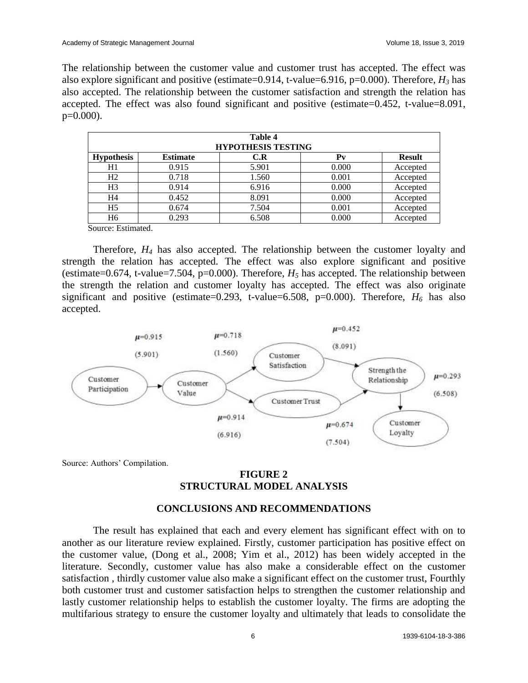The relationship between the customer value and customer trust has accepted. The effect was also explore significant and positive (estimate=0.914, t-value=6.916, p=0.000). Therefore, *H<sup>3</sup>* has also accepted. The relationship between the customer satisfaction and strength the relation has accepted. The effect was also found significant and positive (estimate=0.452, t-value=8.091,  $p=0.000$ ).

| Table 4<br><b>HYPOTHESIS TESTING</b>                                                                                                                                                                                                                                                                                                                                                                                                                                                                |       |       |       |          |  |  |  |
|-----------------------------------------------------------------------------------------------------------------------------------------------------------------------------------------------------------------------------------------------------------------------------------------------------------------------------------------------------------------------------------------------------------------------------------------------------------------------------------------------------|-------|-------|-------|----------|--|--|--|
| <b>Hypothesis</b><br><b>Estimate</b><br>$P_{V}$<br><b>Result</b><br>C.R                                                                                                                                                                                                                                                                                                                                                                                                                             |       |       |       |          |  |  |  |
| H1                                                                                                                                                                                                                                                                                                                                                                                                                                                                                                  | 0.915 | 5.901 | 0.000 | Accepted |  |  |  |
| H2                                                                                                                                                                                                                                                                                                                                                                                                                                                                                                  | 0.718 | 1.560 | 0.001 | Accepted |  |  |  |
| H <sub>3</sub>                                                                                                                                                                                                                                                                                                                                                                                                                                                                                      | 0.914 | 6.916 | 0.000 | Accepted |  |  |  |
| H4                                                                                                                                                                                                                                                                                                                                                                                                                                                                                                  | 0.452 | 8.091 | 0.000 | Accepted |  |  |  |
| H <sub>5</sub>                                                                                                                                                                                                                                                                                                                                                                                                                                                                                      | 0.674 | 7.504 | 0.001 | Accepted |  |  |  |
| H <sub>6</sub>                                                                                                                                                                                                                                                                                                                                                                                                                                                                                      | 0.293 | 6.508 | 0.000 | Accepted |  |  |  |
| $\sim$<br>$\blacksquare$ . $\blacksquare$ . $\blacksquare$ . $\blacksquare$ . $\blacksquare$ . $\blacksquare$ . $\blacksquare$ . $\blacksquare$ . $\blacksquare$ . $\blacksquare$ . $\blacksquare$ . $\blacksquare$ . $\blacksquare$ . $\blacksquare$ . $\blacksquare$ . $\blacksquare$ . $\blacksquare$ . $\blacksquare$ . $\blacksquare$ . $\blacksquare$ . $\blacksquare$ . $\blacksquare$ . $\blacksquare$ . $\blacksquare$ . $\blacksquare$ . $\blacksquare$ . $\blacksquare$ . $\blacksquare$ |       |       |       |          |  |  |  |

Source: Estimated.

Therefore, *H<sup>4</sup>* has also accepted. The relationship between the customer loyalty and strength the relation has accepted. The effect was also explore significant and positive (estimate=0.674, t-value=7.504, p=0.000). Therefore,  $H_5$  has accepted. The relationship between the strength the relation and customer loyalty has accepted. The effect was also originate significant and positive (estimate=0.293, t-value=6.508, p=0.000). Therefore,  $H_6$  has also accepted.



Source: Authors' Compilation.

# **FIGURE 2 STRUCTURAL MODEL ANALYSIS**

#### **CONCLUSIONS AND RECOMMENDATIONS**

The result has explained that each and every element has significant effect with on to another as our literature review explained. Firstly, customer participation has positive effect on the customer value, (Dong et al., 2008; Yim et al., 2012) has been widely accepted in the literature. Secondly, customer value has also make a considerable effect on the customer satisfaction , thirdly customer value also make a significant effect on the customer trust, Fourthly both customer trust and customer satisfaction helps to strengthen the customer relationship and lastly customer relationship helps to establish the customer loyalty. The firms are adopting the multifarious strategy to ensure the customer loyalty and ultimately that leads to consolidate the